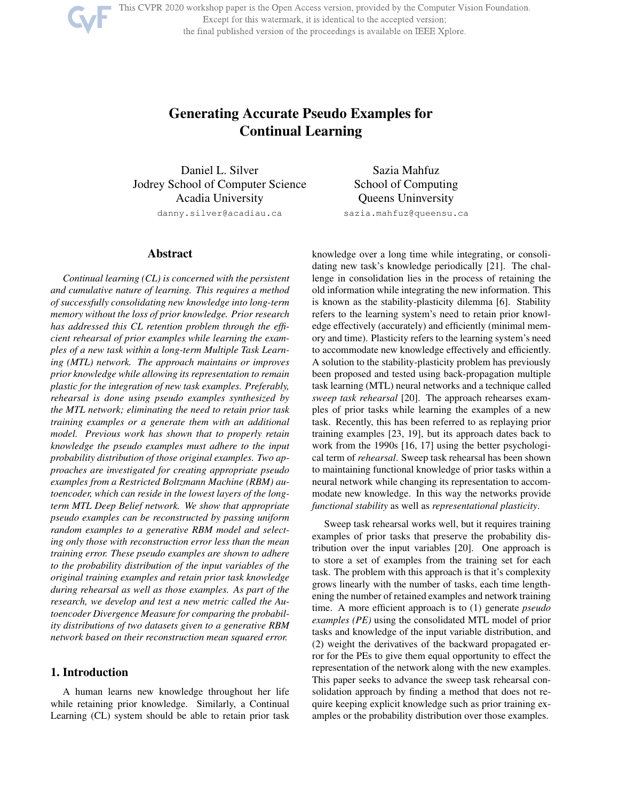This CVPR 2020 workshop paper is the Open Access version, provided by the Computer Vision Foundation.

Except for this watermark, it is identical to the accepted version;

the final published version of the proceedings is available on IEEE Xplore.



# Generating Accurate Pseudo Examples for Continual Learning

Daniel L. Silver Jodrey School of Computer Science Acadia University

danny.silver@acadiau.ca

# Abstract

*Continual learning (CL) is concerned with the persistent and cumulative nature of learning. This requires a method of successfully consolidating new knowledge into long-term memory without the loss of prior knowledge. Prior research has addressed this CL retention problem through the efficient rehearsal of prior examples while learning the examples of a new task within a long-term Multiple Task Learning (MTL) network. The approach maintains or improves prior knowledge while allowing its representation to remain plastic for the integration of new task examples. Preferably, rehearsal is done using pseudo examples synthesized by the MTL network; eliminating the need to retain prior task training examples or a generate them with an additional model. Previous work has shown that to properly retain knowledge the pseudo examples must adhere to the input probability distribution of those original examples. Two approaches are investigated for creating appropriate pseudo examples from a Restricted Boltzmann Machine (RBM) autoencoder, which can reside in the lowest layers of the longterm MTL Deep Belief network. We show that appropriate pseudo examples can be reconstructed by passing uniform random examples to a generative RBM model and selecting only those with reconstruction error less than the mean training error. These pseudo examples are shown to adhere to the probability distribution of the input variables of the original training examples and retain prior task knowledge during rehearsal as well as those examples. As part of the research, we develop and test a new metric called the Autoencoder Divergence Measure for comparing the probability distributions of two datasets given to a generative RBM network based on their reconstruction mean squared error.*

## 1. Introduction

A human learns new knowledge throughout her life while retaining prior knowledge. Similarly, a Continual Learning (CL) system should be able to retain prior task

Sazia Mahfuz School of Computing Queens Uninversity

sazia.mahfuz@queensu.ca

knowledge over a long time while integrating, or consolidating new task's knowledge periodically [21]. The challenge in consolidation lies in the process of retaining the old information while integrating the new information. This is known as the stability-plasticity dilemma [6]. Stability refers to the learning system's need to retain prior knowledge effectively (accurately) and efficiently (minimal memory and time). Plasticity refers to the learning system's need to accommodate new knowledge effectively and efficiently. A solution to the stability-plasticity problem has previously been proposed and tested using back-propagation multiple task learning (MTL) neural networks and a technique called *sweep task rehearsal* [20]. The approach rehearses examples of prior tasks while learning the examples of a new task. Recently, this has been referred to as replaying prior training examples [23, 19], but its approach dates back to work from the 1990s [16, 17] using the better psychological term of *rehearsal*. Sweep task rehearsal has been shown to maintaining functional knowledge of prior tasks within a neural network while changing its representation to accommodate new knowledge. In this way the networks provide *functional stability* as well as *representational plasticity*.

Sweep task rehearsal works well, but it requires training examples of prior tasks that preserve the probability distribution over the input variables [20]. One approach is to store a set of examples from the training set for each task. The problem with this approach is that it's complexity grows linearly with the number of tasks, each time lengthening the number of retained examples and network training time. A more efficient approach is to (1) generate *pseudo examples (PE)* using the consolidated MTL model of prior tasks and knowledge of the input variable distribution, and (2) weight the derivatives of the backward propagated error for the PEs to give them equal opportunity to effect the representation of the network along with the new examples. This paper seeks to advance the sweep task rehearsal consolidation approach by finding a method that does not require keeping explicit knowledge such as prior training examples or the probability distribution over those examples.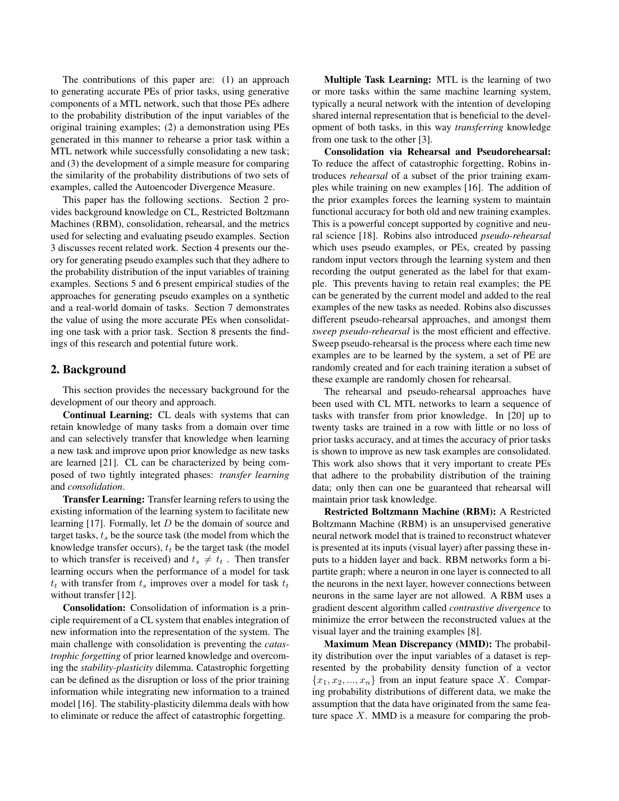The contributions of this paper are: (1) an approach to generating accurate PEs of prior tasks, using generative components of a MTL network, such that those PEs adhere to the probability distribution of the input variables of the original training examples; (2) a demonstration using PEs generated in this manner to rehearse a prior task within a MTL network while successfully consolidating a new task; and (3) the development of a simple measure for comparing the similarity of the probability distributions of two sets of examples, called the Autoencoder Divergence Measure.

This paper has the following sections. Section 2 provides background knowledge on CL, Restricted Boltzmann Machines (RBM), consolidation, rehearsal, and the metrics used for selecting and evaluating pseudo examples. Section 3 discusses recent related work. Section 4 presents our theory for generating pseudo examples such that they adhere to the probability distribution of the input variables of training examples. Sections 5 and 6 present empirical studies of the approaches for generating pseudo examples on a synthetic and a real-world domain of tasks. Section 7 demonstrates the value of using the more accurate PEs when consolidating one task with a prior task. Section 8 presents the findings of this research and potential future work.

# 2. Background

This section provides the necessary background for the development of our theory and approach.

Continual Learning: CL deals with systems that can retain knowledge of many tasks from a domain over time and can selectively transfer that knowledge when learning a new task and improve upon prior knowledge as new tasks are learned [21]. CL can be characterized by being composed of two tightly integrated phases: *transfer learning* and *consolidation*.

Transfer Learning: Transfer learning refers to using the existing information of the learning system to facilitate new learning [17]. Formally, let D be the domain of source and target tasks,  $t_s$  be the source task (the model from which the knowledge transfer occurs),  $t_t$  be the target task (the model to which transfer is received) and  $t_s \neq t_t$ . Then transfer learning occurs when the performance of a model for task  $t_t$  with transfer from  $t_s$  improves over a model for task  $t_t$ without transfer [12].

Consolidation: Consolidation of information is a principle requirement of a CL system that enables integration of new information into the representation of the system. The main challenge with consolidation is preventing the *catastrophic forgetting* of prior learned knowledge and overcoming the *stability-plasticity* dilemma. Catastrophic forgetting can be defined as the disruption or loss of the prior training information while integrating new information to a trained model [16]. The stability-plasticity dilemma deals with how to eliminate or reduce the affect of catastrophic forgetting.

Multiple Task Learning: MTL is the learning of two or more tasks within the same machine learning system, typically a neural network with the intention of developing shared internal representation that is beneficial to the development of both tasks, in this way *transferring* knowledge from one task to the other [3].

Consolidation via Rehearsal and Pseudorehearsal: To reduce the affect of catastrophic forgetting, Robins introduces *rehearsal* of a subset of the prior training examples while training on new examples [16]. The addition of the prior examples forces the learning system to maintain functional accuracy for both old and new training examples. This is a powerful concept supported by cognitive and neural science [18]. Robins also introduced *pseudo-rehearsal* which uses pseudo examples, or PEs, created by passing random input vectors through the learning system and then recording the output generated as the label for that example. This prevents having to retain real examples; the PE can be generated by the current model and added to the real examples of the new tasks as needed. Robins also discusses different pseudo-rehearsal approaches, and amongst them *sweep pseudo-rehearsal* is the most efficient and effective. Sweep pseudo-rehearsal is the process where each time new examples are to be learned by the system, a set of PE are randomly created and for each training iteration a subset of these example are randomly chosen for rehearsal.

The rehearsal and pseudo-rehearsal approaches have been used with CL MTL networks to learn a sequence of tasks with transfer from prior knowledge. In [20] up to twenty tasks are trained in a row with little or no loss of prior tasks accuracy, and at times the accuracy of prior tasks is shown to improve as new task examples are consolidated. This work also shows that it very important to create PEs that adhere to the probability distribution of the training data; only then can one be guaranteed that rehearsal will maintain prior task knowledge.

Restricted Boltzmann Machine (RBM): A Restricted Boltzmann Machine (RBM) is an unsupervised generative neural network model that is trained to reconstruct whatever is presented at its inputs (visual layer) after passing these inputs to a hidden layer and back. RBM networks form a bipartite graph; where a neuron in one layer is connected to all the neurons in the next layer, however connections between neurons in the same layer are not allowed. A RBM uses a gradient descent algorithm called *contrastive divergence* to minimize the error between the reconstructed values at the visual layer and the training examples [8].

Maximum Mean Discrepancy (MMD): The probability distribution over the input variables of a dataset is represented by the probability density function of a vector  ${x_1, x_2, ..., x_n}$  from an input feature space X. Comparing probability distributions of different data, we make the assumption that the data have originated from the same feature space  $X$ . MMD is a measure for comparing the prob-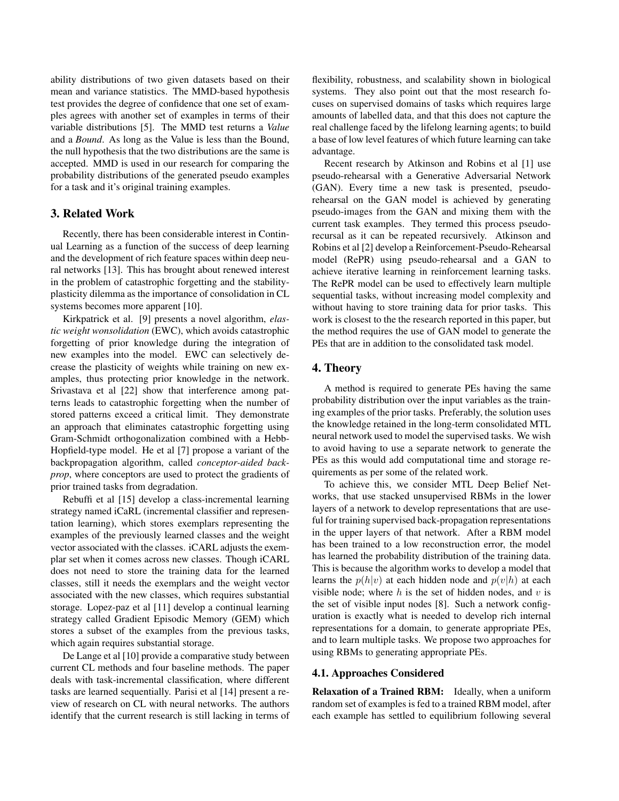ability distributions of two given datasets based on their mean and variance statistics. The MMD-based hypothesis test provides the degree of confidence that one set of examples agrees with another set of examples in terms of their variable distributions [5]. The MMD test returns a *Value* and a *Bound*. As long as the Value is less than the Bound, the null hypothesis that the two distributions are the same is accepted. MMD is used in our research for comparing the probability distributions of the generated pseudo examples for a task and it's original training examples.

# 3. Related Work

Recently, there has been considerable interest in Continual Learning as a function of the success of deep learning and the development of rich feature spaces within deep neural networks [13]. This has brought about renewed interest in the problem of catastrophic forgetting and the stabilityplasticity dilemma as the importance of consolidation in CL systems becomes more apparent [10].

Kirkpatrick et al. [9] presents a novel algorithm, *elastic weight wonsolidation* (EWC), which avoids catastrophic forgetting of prior knowledge during the integration of new examples into the model. EWC can selectively decrease the plasticity of weights while training on new examples, thus protecting prior knowledge in the network. Srivastava et al [22] show that interference among patterns leads to catastrophic forgetting when the number of stored patterns exceed a critical limit. They demonstrate an approach that eliminates catastrophic forgetting using Gram-Schmidt orthogonalization combined with a Hebb-Hopfield-type model. He et al [7] propose a variant of the backpropagation algorithm, called *conceptor-aided backprop*, where conceptors are used to protect the gradients of prior trained tasks from degradation.

Rebuffi et al [15] develop a class-incremental learning strategy named iCaRL (incremental classifier and representation learning), which stores exemplars representing the examples of the previously learned classes and the weight vector associated with the classes. iCARL adjusts the exemplar set when it comes across new classes. Though iCARL does not need to store the training data for the learned classes, still it needs the exemplars and the weight vector associated with the new classes, which requires substantial storage. Lopez-paz et al [11] develop a continual learning strategy called Gradient Episodic Memory (GEM) which stores a subset of the examples from the previous tasks, which again requires substantial storage.

De Lange et al [10] provide a comparative study between current CL methods and four baseline methods. The paper deals with task-incremental classification, where different tasks are learned sequentially. Parisi et al [14] present a review of research on CL with neural networks. The authors identify that the current research is still lacking in terms of flexibility, robustness, and scalability shown in biological systems. They also point out that the most research focuses on supervised domains of tasks which requires large amounts of labelled data, and that this does not capture the real challenge faced by the lifelong learning agents; to build a base of low level features of which future learning can take advantage.

Recent research by Atkinson and Robins et al [1] use pseudo-rehearsal with a Generative Adversarial Network (GAN). Every time a new task is presented, pseudorehearsal on the GAN model is achieved by generating pseudo-images from the GAN and mixing them with the current task examples. They termed this process pseudorecursal as it can be repeated recursively. Atkinson and Robins et al [2] develop a Reinforcement-Pseudo-Rehearsal model (RePR) using pseudo-rehearsal and a GAN to achieve iterative learning in reinforcement learning tasks. The RePR model can be used to effectively learn multiple sequential tasks, without increasing model complexity and without having to store training data for prior tasks. This work is closest to the the research reported in this paper, but the method requires the use of GAN model to generate the PEs that are in addition to the consolidated task model.

# 4. Theory

A method is required to generate PEs having the same probability distribution over the input variables as the training examples of the prior tasks. Preferably, the solution uses the knowledge retained in the long-term consolidated MTL neural network used to model the supervised tasks. We wish to avoid having to use a separate network to generate the PEs as this would add computational time and storage requirements as per some of the related work.

To achieve this, we consider MTL Deep Belief Networks, that use stacked unsupervised RBMs in the lower layers of a network to develop representations that are useful for training supervised back-propagation representations in the upper layers of that network. After a RBM model has been trained to a low reconstruction error, the model has learned the probability distribution of the training data. This is because the algorithm works to develop a model that learns the  $p(h|v)$  at each hidden node and  $p(v|h)$  at each visible node; where  $h$  is the set of hidden nodes, and  $v$  is the set of visible input nodes [8]. Such a network configuration is exactly what is needed to develop rich internal representations for a domain, to generate appropriate PEs, and to learn multiple tasks. We propose two approaches for using RBMs to generating appropriate PEs.

## 4.1. Approaches Considered

Relaxation of a Trained RBM: Ideally, when a uniform random set of examples is fed to a trained RBM model, after each example has settled to equilibrium following several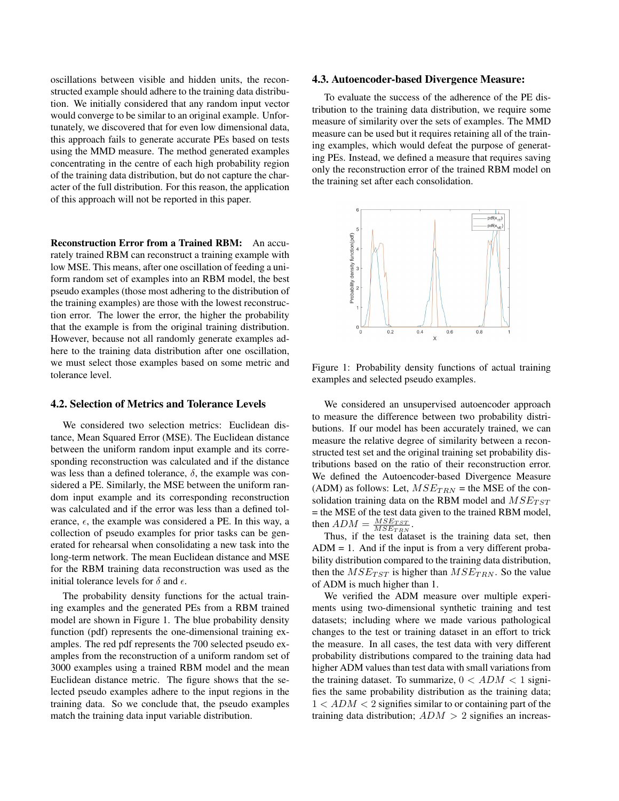oscillations between visible and hidden units, the reconstructed example should adhere to the training data distribution. We initially considered that any random input vector would converge to be similar to an original example. Unfortunately, we discovered that for even low dimensional data, this approach fails to generate accurate PEs based on tests using the MMD measure. The method generated examples concentrating in the centre of each high probability region of the training data distribution, but do not capture the character of the full distribution. For this reason, the application of this approach will not be reported in this paper.

Reconstruction Error from a Trained RBM: An accurately trained RBM can reconstruct a training example with low MSE. This means, after one oscillation of feeding a uniform random set of examples into an RBM model, the best pseudo examples (those most adhering to the distribution of the training examples) are those with the lowest reconstruction error. The lower the error, the higher the probability that the example is from the original training distribution. However, because not all randomly generate examples adhere to the training data distribution after one oscillation, we must select those examples based on some metric and tolerance level.

#### 4.2. Selection of Metrics and Tolerance Levels

We considered two selection metrics: Euclidean distance, Mean Squared Error (MSE). The Euclidean distance between the uniform random input example and its corresponding reconstruction was calculated and if the distance was less than a defined tolerance,  $\delta$ , the example was considered a PE. Similarly, the MSE between the uniform random input example and its corresponding reconstruction was calculated and if the error was less than a defined tolerance,  $\epsilon$ , the example was considered a PE. In this way, a collection of pseudo examples for prior tasks can be generated for rehearsal when consolidating a new task into the long-term network. The mean Euclidean distance and MSE for the RBM training data reconstruction was used as the initial tolerance levels for  $\delta$  and  $\epsilon$ .

The probability density functions for the actual training examples and the generated PEs from a RBM trained model are shown in Figure 1. The blue probability density function (pdf) represents the one-dimensional training examples. The red pdf represents the 700 selected pseudo examples from the reconstruction of a uniform random set of 3000 examples using a trained RBM model and the mean Euclidean distance metric. The figure shows that the selected pseudo examples adhere to the input regions in the training data. So we conclude that, the pseudo examples match the training data input variable distribution.

#### 4.3. Autoencoder-based Divergence Measure:

To evaluate the success of the adherence of the PE distribution to the training data distribution, we require some measure of similarity over the sets of examples. The MMD measure can be used but it requires retaining all of the training examples, which would defeat the purpose of generating PEs. Instead, we defined a measure that requires saving only the reconstruction error of the trained RBM model on the training set after each consolidation.



Figure 1: Probability density functions of actual training examples and selected pseudo examples.

We considered an unsupervised autoencoder approach to measure the difference between two probability distributions. If our model has been accurately trained, we can measure the relative degree of similarity between a reconstructed test set and the original training set probability distributions based on the ratio of their reconstruction error. We defined the Autoencoder-based Divergence Measure (ADM) as follows: Let,  $MSE_{TRN}$  = the MSE of the consolidation training data on the RBM model and  $MSE_{TST}$ = the MSE of the test data given to the trained RBM model, then  $ADM = \frac{MSE_{TST}}{MSE_{TRN}}$ .

Thus, if the test dataset is the training data set, then  $ADM = 1$ . And if the input is from a very different probability distribution compared to the training data distribution, then the  $MSE_{TST}$  is higher than  $MSE_{TRN}$ . So the value of ADM is much higher than 1.

We verified the ADM measure over multiple experiments using two-dimensional synthetic training and test datasets; including where we made various pathological changes to the test or training dataset in an effort to trick the measure. In all cases, the test data with very different probability distributions compared to the training data had higher ADM values than test data with small variations from the training dataset. To summarize,  $0 < ADM < 1$  signifies the same probability distribution as the training data;  $1 < ADM < 2$  signifies similar to or containing part of the training data distribution;  $ADM > 2$  signifies an increas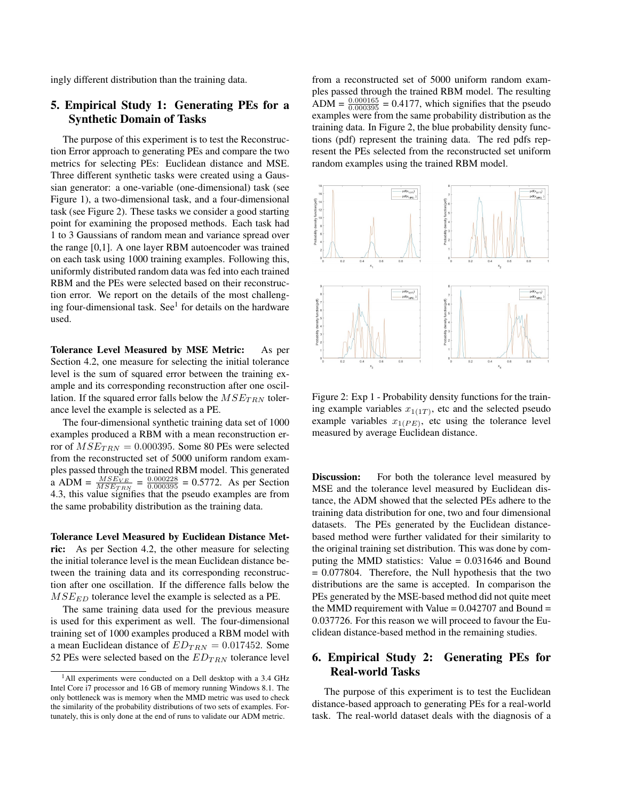ingly different distribution than the training data.

# 5. Empirical Study 1: Generating PEs for a Synthetic Domain of Tasks

The purpose of this experiment is to test the Reconstruction Error approach to generating PEs and compare the two metrics for selecting PEs: Euclidean distance and MSE. Three different synthetic tasks were created using a Gaussian generator: a one-variable (one-dimensional) task (see Figure 1), a two-dimensional task, and a four-dimensional task (see Figure 2). These tasks we consider a good starting point for examining the proposed methods. Each task had 1 to 3 Gaussians of random mean and variance spread over the range [0,1]. A one layer RBM autoencoder was trained on each task using 1000 training examples. Following this, uniformly distributed random data was fed into each trained RBM and the PEs were selected based on their reconstruction error. We report on the details of the most challenging four-dimensional task. See<sup>1</sup> for details on the hardware used.

Tolerance Level Measured by MSE Metric: As per Section 4.2, one measure for selecting the initial tolerance level is the sum of squared error between the training example and its corresponding reconstruction after one oscillation. If the squared error falls below the  $MSE_{TRN}$  tolerance level the example is selected as a PE.

The four-dimensional synthetic training data set of 1000 examples produced a RBM with a mean reconstruction error of  $MSE_{TRN} = 0.000395$ . Some 80 PEs were selected from the reconstructed set of 5000 uniform random examples passed through the trained RBM model. This generated a ADM =  $\frac{MSE_{VE}}{MSE_{TRN}} = \frac{0.000228}{0.000395} = 0.5772$ . As per Section 4.3, this value signifies that the pseudo examples are from the same probability distribution as the training data.

Tolerance Level Measured by Euclidean Distance Metric: As per Section 4.2, the other measure for selecting the initial tolerance level is the mean Euclidean distance between the training data and its corresponding reconstruction after one oscillation. If the difference falls below the  $MSE_{ED}$  tolerance level the example is selected as a PE.

The same training data used for the previous measure is used for this experiment as well. The four-dimensional training set of 1000 examples produced a RBM model with a mean Euclidean distance of  $ED_{TRN} = 0.017452$ . Some 52 PEs were selected based on the  $ED_{TRN}$  tolerance level from a reconstructed set of 5000 uniform random examples passed through the trained RBM model. The resulting  $ADM = \frac{0.000165}{0.000395} = 0.4177$ , which signifies that the pseudo examples were from the same probability distribution as the training data. In Figure 2, the blue probability density functions (pdf) represent the training data. The red pdfs represent the PEs selected from the reconstructed set uniform random examples using the trained RBM model.



Figure 2: Exp 1 - Probability density functions for the training example variables  $x_{1(1T)}$ , etc and the selected pseudo example variables  $x_{1(PE)}$ , etc using the tolerance level measured by average Euclidean distance.

Discussion: For both the tolerance level measured by MSE and the tolerance level measured by Euclidean distance, the ADM showed that the selected PEs adhere to the training data distribution for one, two and four dimensional datasets. The PEs generated by the Euclidean distancebased method were further validated for their similarity to the original training set distribution. This was done by computing the MMD statistics: Value = 0.031646 and Bound  $= 0.077804$ . Therefore, the Null hypothesis that the two distributions are the same is accepted. In comparison the PEs generated by the MSE-based method did not quite meet the MMD requirement with Value  $= 0.042707$  and Bound  $=$ 0.037726. For this reason we will proceed to favour the Euclidean distance-based method in the remaining studies.

# 6. Empirical Study 2: Generating PEs for Real-world Tasks

The purpose of this experiment is to test the Euclidean distance-based approach to generating PEs for a real-world task. The real-world dataset deals with the diagnosis of a

<sup>&</sup>lt;sup>1</sup>All experiments were conducted on a Dell desktop with a 3.4 GHz Intel Core i7 processor and 16 GB of memory running Windows 8.1. The only bottleneck was is memory when the MMD metric was used to check the similarity of the probability distributions of two sets of examples. Fortunately, this is only done at the end of runs to validate our ADM metric.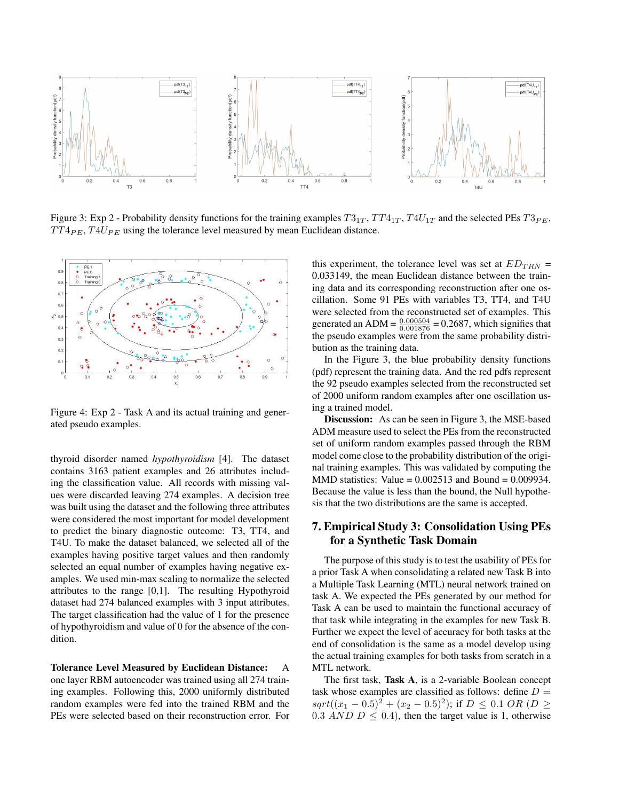

Figure 3: Exp 2 - Probability density functions for the training examples  $T3_{1T}$ ,  $TT4_{1T}$ ,  $T4U_{1T}$  and the selected PEs  $T3_{PE}$ ,  $TT4_{PE}$ ,  $T4U_{PE}$  using the tolerance level measured by mean Euclidean distance.



Figure 4: Exp 2 - Task A and its actual training and generated pseudo examples.

thyroid disorder named *hypothyroidism* [4]. The dataset contains 3163 patient examples and 26 attributes including the classification value. All records with missing values were discarded leaving 274 examples. A decision tree was built using the dataset and the following three attributes were considered the most important for model development to predict the binary diagnostic outcome: T3, TT4, and T4U. To make the dataset balanced, we selected all of the examples having positive target values and then randomly selected an equal number of examples having negative examples. We used min-max scaling to normalize the selected attributes to the range [0,1]. The resulting Hypothyroid dataset had 274 balanced examples with 3 input attributes. The target classification had the value of 1 for the presence of hypothyroidism and value of 0 for the absence of the condition.

Tolerance Level Measured by Euclidean Distance: A one layer RBM autoencoder was trained using all 274 training examples. Following this, 2000 uniformly distributed random examples were fed into the trained RBM and the PEs were selected based on their reconstruction error. For this experiment, the tolerance level was set at  $ED_{TRN} =$ 0.033149, the mean Euclidean distance between the training data and its corresponding reconstruction after one oscillation. Some 91 PEs with variables T3, TT4, and T4U were selected from the reconstructed set of examples. This generated an ADM =  $\frac{0.000504}{0.001876}$  = 0.2687, which signifies that the pseudo examples were from the same probability distribution as the training data.

In the Figure 3, the blue probability density functions (pdf) represent the training data. And the red pdfs represent the 92 pseudo examples selected from the reconstructed set of 2000 uniform random examples after one oscillation using a trained model.

Discussion: As can be seen in Figure 3, the MSE-based ADM measure used to select the PEs from the reconstructed set of uniform random examples passed through the RBM model come close to the probability distribution of the original training examples. This was validated by computing the MMD statistics: Value =  $0.002513$  and Bound =  $0.009934$ . Because the value is less than the bound, the Null hypothesis that the two distributions are the same is accepted.

# 7. Empirical Study 3: Consolidation Using PEs for a Synthetic Task Domain

The purpose of this study is to test the usability of PEs for a prior Task A when consolidating a related new Task B into a Multiple Task Learning (MTL) neural network trained on task A. We expected the PEs generated by our method for Task A can be used to maintain the functional accuracy of that task while integrating in the examples for new Task B. Further we expect the level of accuracy for both tasks at the end of consolidation is the same as a model develop using the actual training examples for both tasks from scratch in a MTL network.

The first task, Task A, is a 2-variable Boolean concept task whose examples are classified as follows: define  $D =$  $sqrt((x_1 - 0.5)^2 + (x_2 - 0.5)^2)$ ; if  $D \le 0.1 \text{ OR } (D \ge 0)$ 0.3 AND  $D \leq 0.4$ ), then the target value is 1, otherwise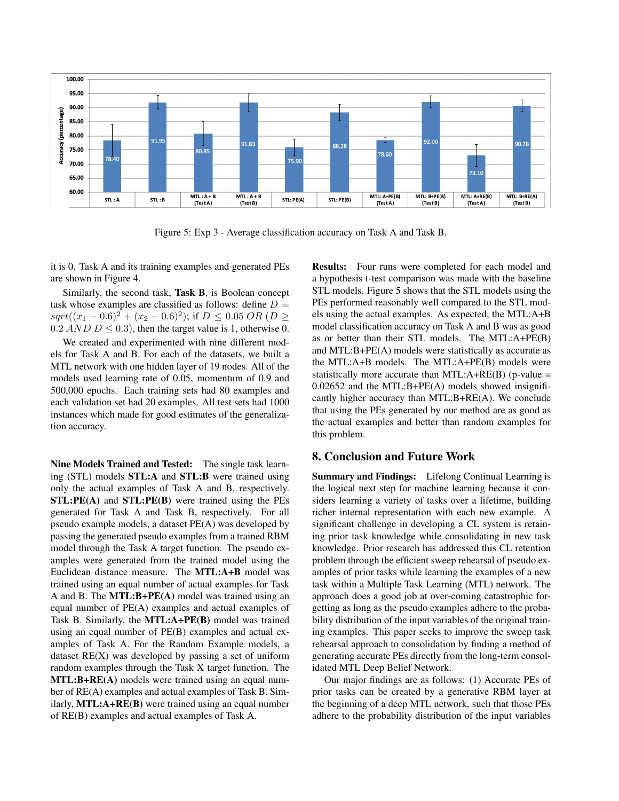

Figure 5: Exp 3 - Average classification accuracy on Task A and Task B.

it is 0. Task A and its training examples and generated PEs are shown in Figure 4.

Similarly, the second task, Task B, is Boolean concept task whose examples are classified as follows: define  $D =$  $sqrt((x_1 - 0.6)^2 + (x_2 - 0.6)^2)$ ; if  $D \le 0.05 \ OR \ (D \ge 0.65)$  $0.2$  *AND D*  $\leq$  0.3), then the target value is 1, otherwise 0.

We created and experimented with nine different models for Task A and B. For each of the datasets, we built a MTL network with one hidden layer of 19 nodes. All of the models used learning rate of 0.05, momentum of 0.9 and 500,000 epochs. Each training sets had 80 examples and each validation set had 20 examples. All test sets had 1000 instances which made for good estimates of the generalization accuracy.

Nine Models Trained and Tested: The single task learning (STL) models STL:A and STL:B were trained using only the actual examples of Task A and B, respectively. STL:PE(A) and STL:PE(B) were trained using the PEs generated for Task A and Task B, respectively. For all pseudo example models, a dataset PE(A) was developed by passing the generated pseudo examples from a trained RBM model through the Task A target function. The pseudo examples were generated from the trained model using the Euclidean distance measure. The MTL:A+B model was trained using an equal number of actual examples for Task A and B. The MTL:B+PE(A) model was trained using an equal number of PE(A) examples and actual examples of Task B. Similarly, the MTL:A+PE(B) model was trained using an equal number of PE(B) examples and actual examples of Task A. For the Random Example models, a dataset RE(X) was developed by passing a set of uniform random examples through the Task X target function. The MTL:B+RE(A) models were trained using an equal number of RE(A) examples and actual examples of Task B. Similarly, MTL:A+RE(B) were trained using an equal number of RE(B) examples and actual examples of Task A.

Results: Four runs were completed for each model and a hypothesis t-test comparison was made with the baseline STL models. Figure 5 shows that the STL models using the PEs performed reasonably well compared to the STL models using the actual examples. As expected, the MTL:A+B model classification accuracy on Task A and B was as good as or better than their STL models. The MTL:A+PE(B) and MTL:B+PE(A) models were statistically as accurate as the MTL:A+B models. The MTL:A+PE(B) models were statistically more accurate than MTL: $A+RE(B)$  (p-value = 0.02652 and the MTL:B+PE(A) models showed insignificantly higher accuracy than MTL:B+RE(A). We conclude that using the PEs generated by our method are as good as the actual examples and better than random examples for this problem.

# 8. Conclusion and Future Work

Summary and Findings: Lifelong Continual Learning is the logical next step for machine learning because it considers learning a variety of tasks over a lifetime, building richer internal representation with each new example. A significant challenge in developing a CL system is retaining prior task knowledge while consolidating in new task knowledge. Prior research has addressed this CL retention problem through the efficient sweep rehearsal of pseudo examples of prior tasks while learning the examples of a new task within a Multiple Task Learning (MTL) network. The approach does a good job at over-coming catastrophic forgetting as long as the pseudo examples adhere to the probability distribution of the input variables of the original training examples. This paper seeks to improve the sweep task rehearsal approach to consolidation by finding a method of generating accurate PEs directly from the long-term consolidated MTL Deep Belief Network.

Our major findings are as follows: (1) Accurate PEs of prior tasks can be created by a generative RBM layer at the beginning of a deep MTL network, such that those PEs adhere to the probability distribution of the input variables